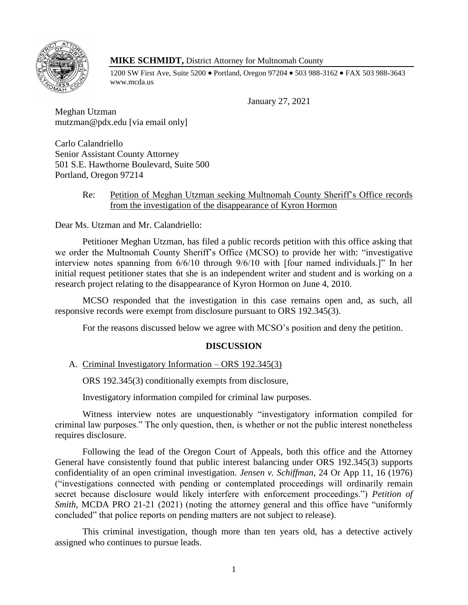

## **MIKE SCHMIDT,** District Attorney for Multnomah County

1200 SW First Ave, Suite 5200 • Portland, Oregon 97204 • 503 988-3162 • FAX 503 988-3643 www.mcda.us

January 27, 2021

Meghan Utzman mutzman@pdx.edu [via email only]

Carlo Calandriello Senior Assistant County Attorney 501 S.E. Hawthorne Boulevard, Suite 500 Portland, Oregon 97214

## Re: Petition of Meghan Utzman seeking Multnomah County Sheriff's Office records from the investigation of the disappearance of Kyron Hormon

Dear Ms. Utzman and Mr. Calandriello:

Petitioner Meghan Utzman, has filed a public records petition with this office asking that we order the Multnomah County Sheriff's Office (MCSO) to provide her with: "investigative interview notes spanning from 6/6/10 through 9/6/10 with [four named individuals.]" In her initial request petitioner states that she is an independent writer and student and is working on a research project relating to the disappearance of Kyron Hormon on June 4, 2010.

MCSO responded that the investigation in this case remains open and, as such, all responsive records were exempt from disclosure pursuant to ORS 192.345(3).

For the reasons discussed below we agree with MCSO's position and deny the petition.

## **DISCUSSION**

A. Criminal Investigatory Information – ORS 192.345(3)

ORS 192.345(3) conditionally exempts from disclosure,

Investigatory information compiled for criminal law purposes.

Witness interview notes are unquestionably "investigatory information compiled for criminal law purposes." The only question, then, is whether or not the public interest nonetheless requires disclosure.

Following the lead of the Oregon Court of Appeals, both this office and the Attorney General have consistently found that public interest balancing under ORS 192.345(3) supports confidentiality of an open criminal investigation. *Jensen v. Schiffman*, 24 Or App 11, 16 (1976) ("investigations connected with pending or contemplated proceedings will ordinarily remain secret because disclosure would likely interfere with enforcement proceedings.") *Petition of Smith*, MCDA PRO 21-21 (2021) (noting the attorney general and this office have "uniformly concluded" that police reports on pending matters are not subject to release).

This criminal investigation, though more than ten years old, has a detective actively assigned who continues to pursue leads.